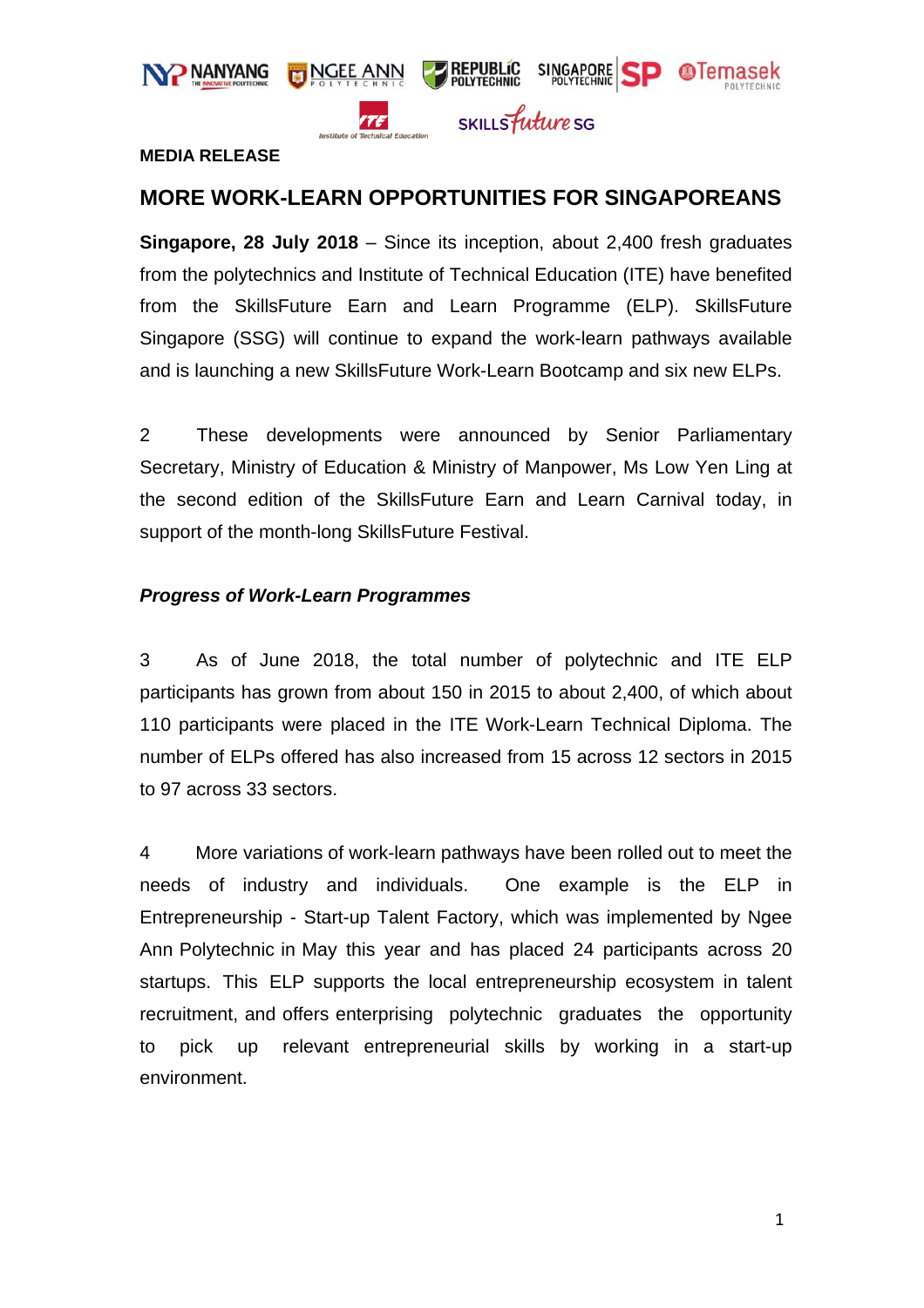

#### **MEDIA RELEASE**

## **MORE WORK-LEARN OPPORTUNITIES FOR SINGAPOREANS**

**Singapore, 28 July 2018** – Since its inception, about 2,400 fresh graduates from the polytechnics and Institute of Technical Education (ITE) have benefited from the SkillsFuture Earn and Learn Programme (ELP). SkillsFuture Singapore (SSG) will continue to expand the work-learn pathways available and is launching a new SkillsFuture Work-Learn Bootcamp and six new ELPs.

2 These developments were announced by Senior Parliamentary Secretary, Ministry of Education & Ministry of Manpower, Ms Low Yen Ling at the second edition of the SkillsFuture Earn and Learn Carnival today, in support of the month-long SkillsFuture Festival.

#### *Progress of Work-Learn Programmes*

3 As of June 2018, the total number of polytechnic and ITE ELP participants has grown from about 150 in 2015 to about 2,400, of which about 110 participants were placed in the ITE Work-Learn Technical Diploma. The number of ELPs offered has also increased from 15 across 12 sectors in 2015 to 97 across 33 sectors.

4 More variations of work-learn pathways have been rolled out to meet the needs of industry and individuals. One example is the ELP in Entrepreneurship - Start-up Talent Factory, which was implemented by Ngee Ann Polytechnic in May this year and has placed 24 participants across 20 startups. This ELP supports the local entrepreneurship ecosystem in talent recruitment, and offers enterprising polytechnic graduates the opportunity to pick up relevant entrepreneurial skills by working in a start-up environment.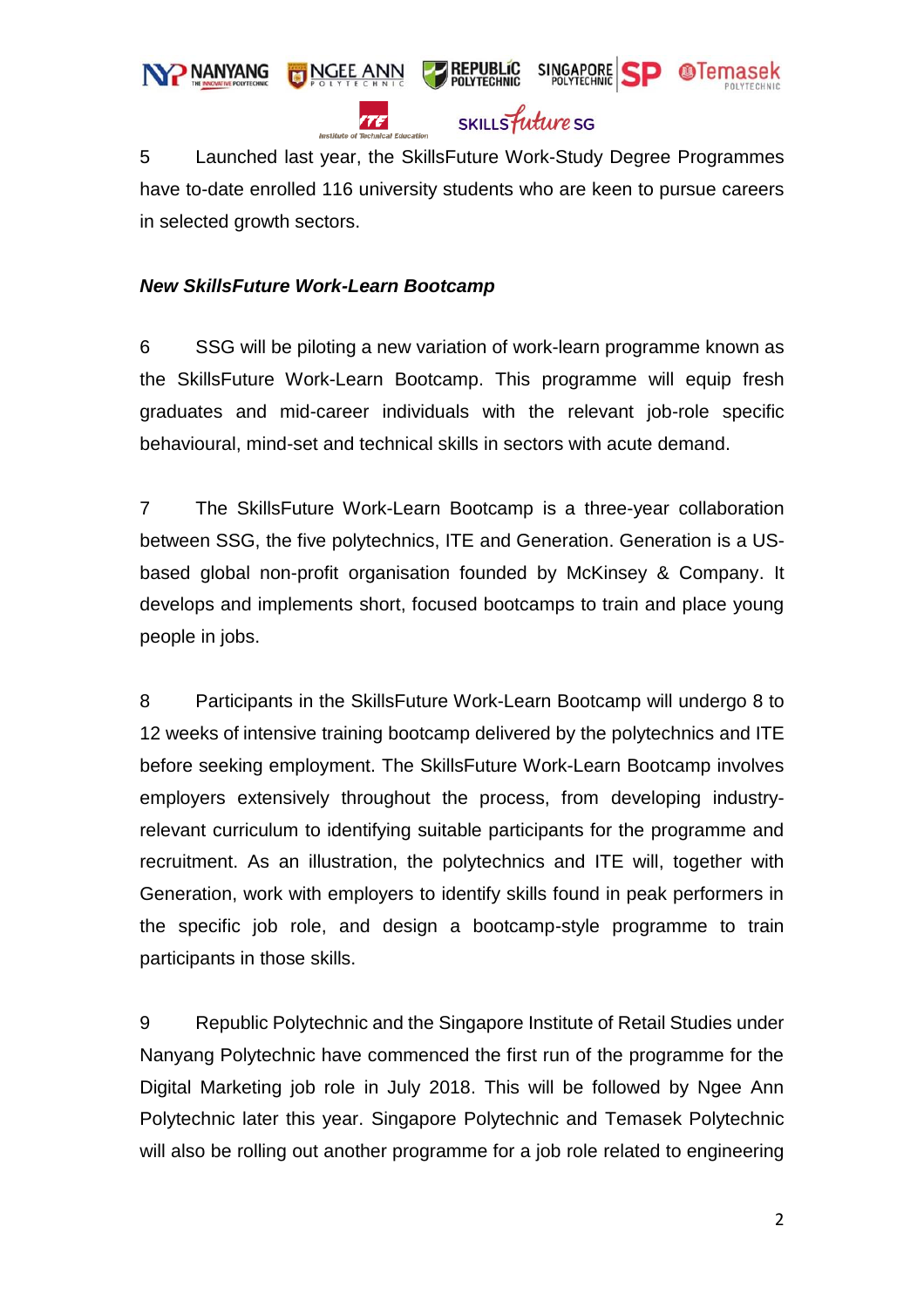

5 Launched last year, the SkillsFuture Work-Study Degree Programmes have to-date enrolled 116 university students who are keen to pursue careers in selected growth sectors.

#### *New SkillsFuture Work-Learn Bootcamp*

6 SSG will be piloting a new variation of work-learn programme known as the SkillsFuture Work-Learn Bootcamp. This programme will equip fresh graduates and mid-career individuals with the relevant job-role specific behavioural, mind-set and technical skills in sectors with acute demand.

7 The SkillsFuture Work-Learn Bootcamp is a three-year collaboration between SSG, the five polytechnics, ITE and Generation. Generation is a USbased global non-profit organisation founded by McKinsey & Company. It develops and implements short, focused bootcamps to train and place young people in jobs.

8 Participants in the SkillsFuture Work-Learn Bootcamp will undergo 8 to 12 weeks of intensive training bootcamp delivered by the polytechnics and ITE before seeking employment. The SkillsFuture Work-Learn Bootcamp involves employers extensively throughout the process, from developing industryrelevant curriculum to identifying suitable participants for the programme and recruitment. As an illustration, the polytechnics and ITE will, together with Generation, work with employers to identify skills found in peak performers in the specific job role, and design a bootcamp-style programme to train participants in those skills.

9 Republic Polytechnic and the Singapore Institute of Retail Studies under Nanyang Polytechnic have commenced the first run of the programme for the Digital Marketing job role in July 2018. This will be followed by Ngee Ann Polytechnic later this year. Singapore Polytechnic and Temasek Polytechnic will also be rolling out another programme for a job role related to engineering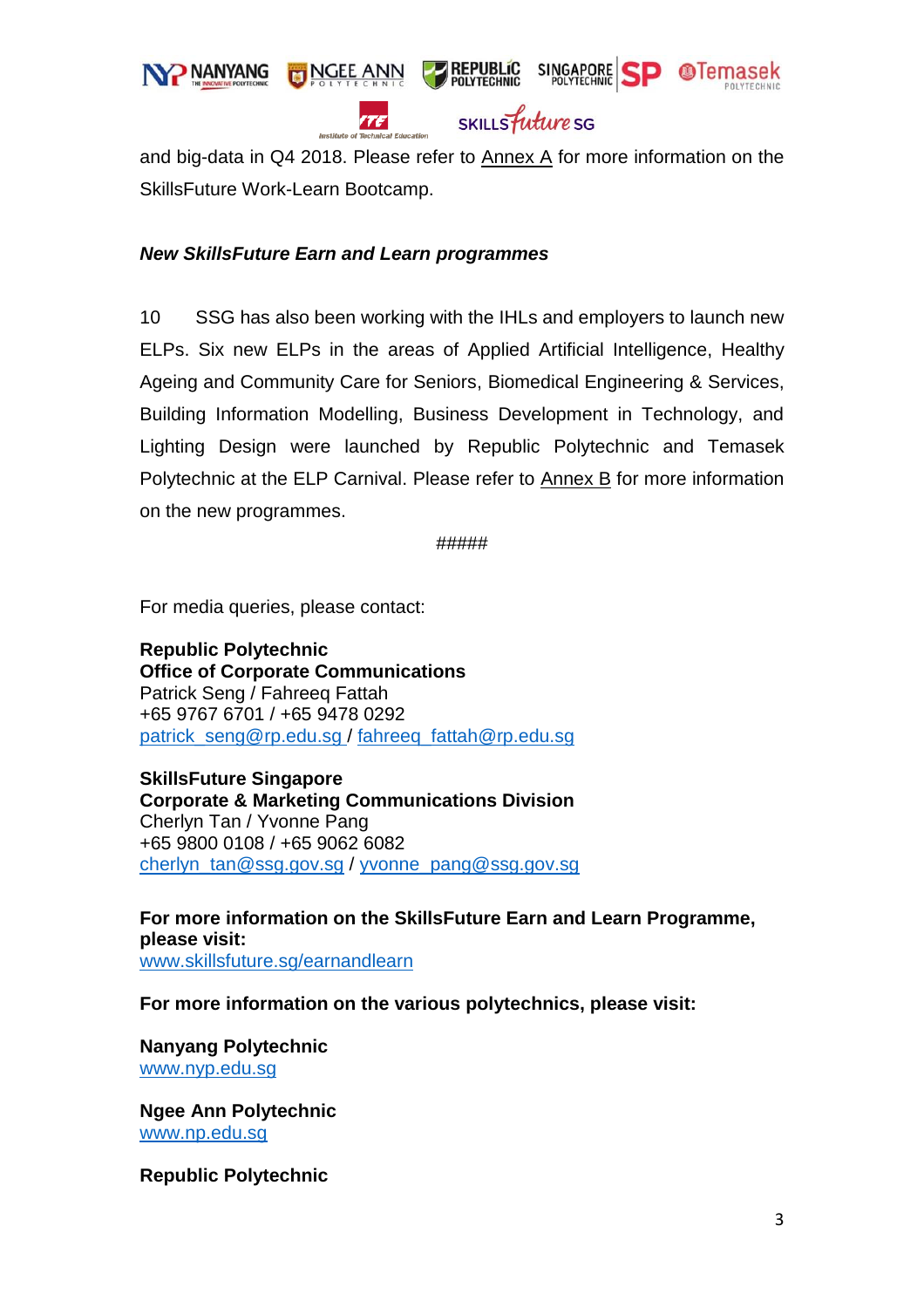

# SKILLS *future* SG

SINGAPORE SP **OTemasek** 

**PREPUBLIC**<br>POLYTECHNIC

and big-data in Q4 2018. Please refer to **Annex A** for more information on the SkillsFuture Work-Learn Bootcamp.

#### *New SkillsFuture Earn and Learn programmes*

**NGEE ANN** 

TE

10 SSG has also been working with the IHLs and employers to launch new ELPs. Six new ELPs in the areas of Applied Artificial Intelligence, Healthy Ageing and Community Care for Seniors, Biomedical Engineering & Services, Building Information Modelling, Business Development in Technology, and Lighting Design were launched by Republic Polytechnic and Temasek Polytechnic at the ELP Carnival. Please refer to **Annex B** for more information on the new programmes.

#####

For media queries, please contact:

**Republic Polytechnic Office of Corporate Communications** Patrick Seng / Fahreeq Fattah +65 9767 6701 / +65 9478 0292 [patrick\\_seng@rp.edu.sg](mailto:patrick_seng@rp.edu.sg%20/) / [fahreeq\\_fattah@rp.edu.sg](mailto:fahreeq_fattah@rp.edu.sg)

**SkillsFuture Singapore Corporate & Marketing Communications Division**  Cherlyn Tan / Yvonne Pang +65 9800 0108 / +65 9062 6082 [cherlyn\\_tan@ssg.gov.sg](mailto:cherlyn_tan@ssg.gov.sg) / [yvonne\\_pang@ssg.gov.sg](mailto:yvonne_pang@ssg.gov.sg)

**For more information on the SkillsFuture Earn and Learn Programme, please visit:**  [www.skillsfuture.sg/earnandlearn](http://www.skillsfuture.sg/earnandlearn)

**For more information on the various polytechnics, please visit:** 

**Nanyang Polytechnic** [www.nyp.edu.sg](http://www.nyp.edu.sg/)

**Ngee Ann Polytechnic** [www.np.edu.sg](http://www.np.edu.sg/)

**Republic Polytechnic**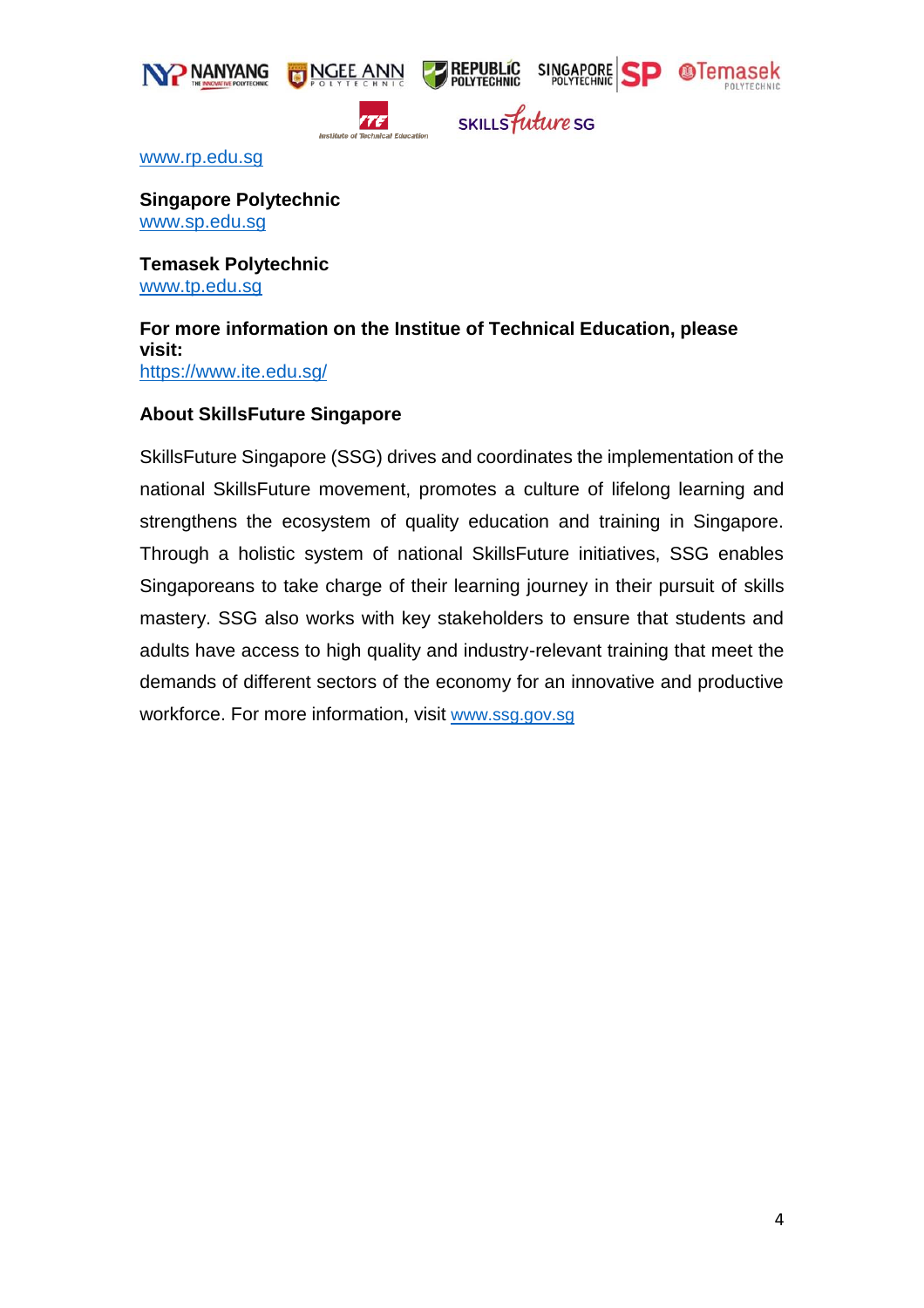



ite<sup>r</sup>

SKILLS future SG

[www.rp.edu.sg](http://www.rp.edu.sg/)

**Singapore Polytechnic** [www.sp.edu.sg](http://www.sp.edu.sg/)

**Temasek Polytechnic** [www.tp.edu.sg](http://www.tp.edu.sg/)

**For more information on the Institue of Technical Education, please visit:**  <https://www.ite.edu.sg/>

#### **About SkillsFuture Singapore**

SkillsFuture Singapore (SSG) drives and coordinates the implementation of the national SkillsFuture movement, promotes a culture of lifelong learning and strengthens the ecosystem of quality education and training in Singapore. Through a holistic system of national SkillsFuture initiatives, SSG enables Singaporeans to take charge of their learning journey in their pursuit of skills mastery. SSG also works with key stakeholders to ensure that students and adults have access to high quality and industry-relevant training that meet the demands of different sectors of the economy for an innovative and productive workforce. For more information, visit [www.ssg.gov.sg](http://www.ssg.gov.sg/)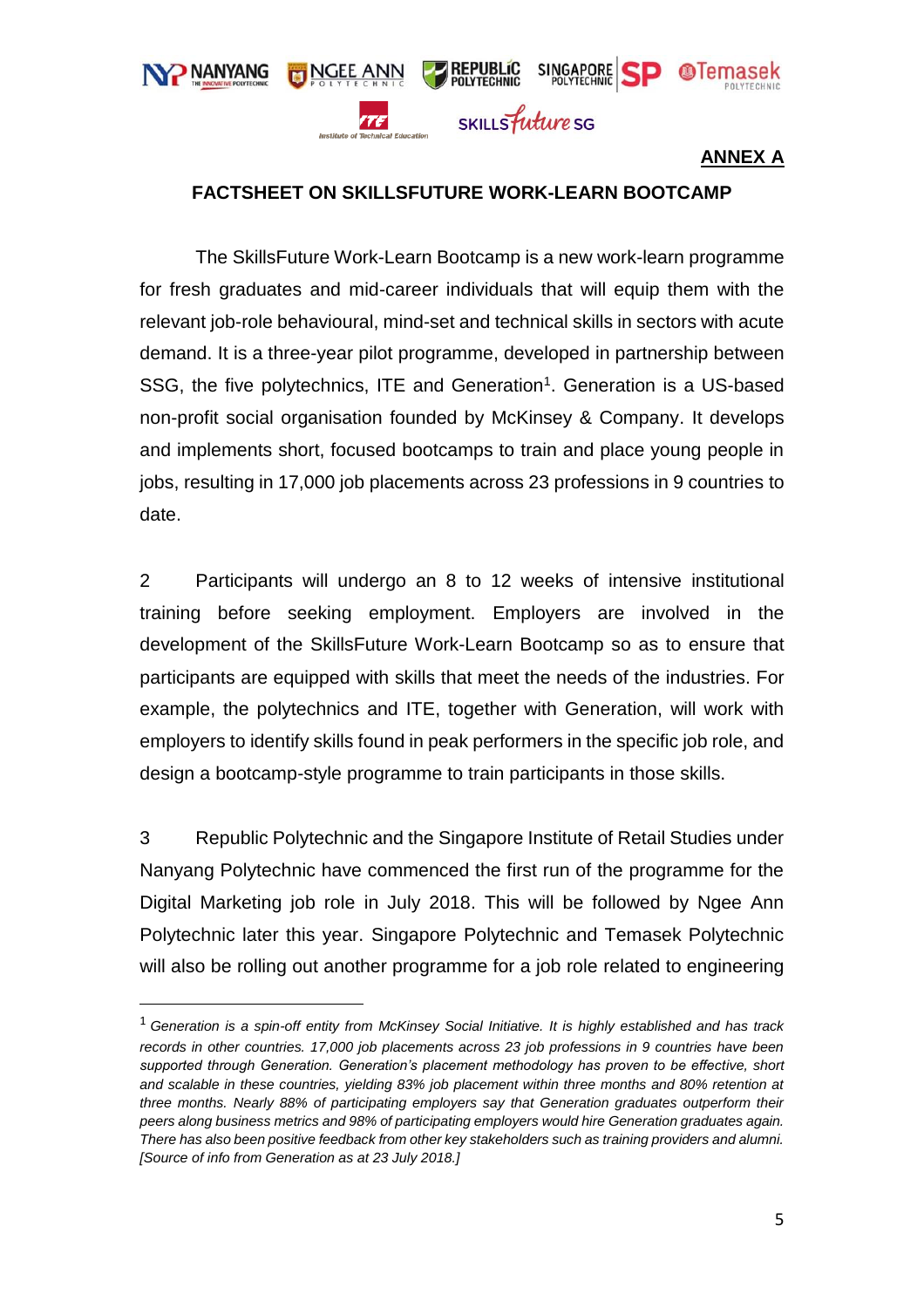

# **ANNEX A**

## **FACTSHEET ON SKILLSFUTURE WORK-LEARN BOOTCAMP**

The SkillsFuture Work-Learn Bootcamp is a new work-learn programme for fresh graduates and mid-career individuals that will equip them with the relevant job-role behavioural, mind-set and technical skills in sectors with acute demand. It is a three-year pilot programme, developed in partnership between SSG, the five polytechnics, ITE and Generation<sup>1</sup>. Generation is a US-based non-profit social organisation founded by McKinsey & Company. It develops and implements short, focused bootcamps to train and place young people in jobs, resulting in 17,000 job placements across 23 professions in 9 countries to date.

2 Participants will undergo an 8 to 12 weeks of intensive institutional training before seeking employment. Employers are involved in the development of the SkillsFuture Work-Learn Bootcamp so as to ensure that participants are equipped with skills that meet the needs of the industries. For example, the polytechnics and ITE, together with Generation, will work with employers to identify skills found in peak performers in the specific job role, and design a bootcamp-style programme to train participants in those skills.

3 Republic Polytechnic and the Singapore Institute of Retail Studies under Nanyang Polytechnic have commenced the first run of the programme for the Digital Marketing job role in July 2018. This will be followed by Ngee Ann Polytechnic later this year. Singapore Polytechnic and Temasek Polytechnic will also be rolling out another programme for a job role related to engineering

 $\overline{a}$ 

<sup>1</sup> *Generation is a spin-off entity from McKinsey Social Initiative. It is highly established and has track records in other countries. 17,000 job placements across 23 job professions in 9 countries have been supported through Generation. Generation's placement methodology has proven to be effective, short and scalable in these countries, yielding 83% job placement within three months and 80% retention at three months. Nearly 88% of participating employers say that Generation graduates outperform their peers along business metrics and 98% of participating employers would hire Generation graduates again. There has also been positive feedback from other key stakeholders such as training providers and alumni. [Source of info from Generation as at 23 July 2018.]*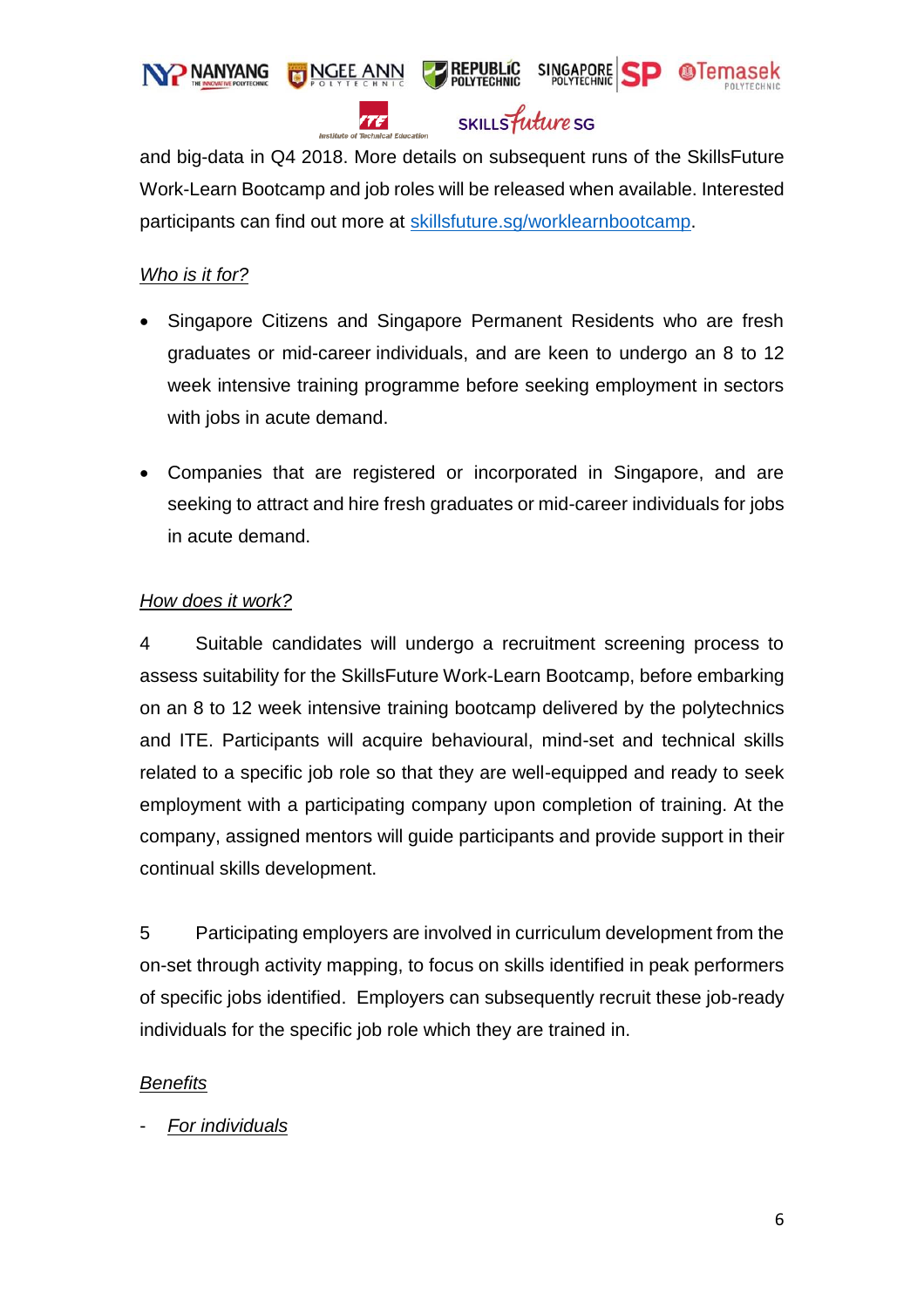

rtel

SKILLS *future* SG

and big-data in Q4 2018. More details on subsequent runs of the SkillsFuture Work-Learn Bootcamp and job roles will be released when available. Interested participants can find out more at [skillsfuture.sg/worklearnbootcamp.](http://www.skillsfuture.sg/worklearnbootcamp)

## *Who is it for?*

- Singapore Citizens and Singapore Permanent Residents who are fresh graduates or mid-career individuals, and are keen to undergo an 8 to 12 week intensive training programme before seeking employment in sectors with jobs in acute demand.
- Companies that are registered or incorporated in Singapore, and are seeking to attract and hire fresh graduates or mid-career individuals for jobs in acute demand.

## *How does it work?*

4 Suitable candidates will undergo a recruitment screening process to assess suitability for the SkillsFuture Work-Learn Bootcamp, before embarking on an 8 to 12 week intensive training bootcamp delivered by the polytechnics and ITE. Participants will acquire behavioural, mind-set and technical skills related to a specific job role so that they are well-equipped and ready to seek employment with a participating company upon completion of training. At the company, assigned mentors will guide participants and provide support in their continual skills development.

5 Participating employers are involved in curriculum development from the on-set through activity mapping, to focus on skills identified in peak performers of specific jobs identified. Employers can subsequently recruit these job-ready individuals for the specific job role which they are trained in.

## *Benefits*

- *For individuals*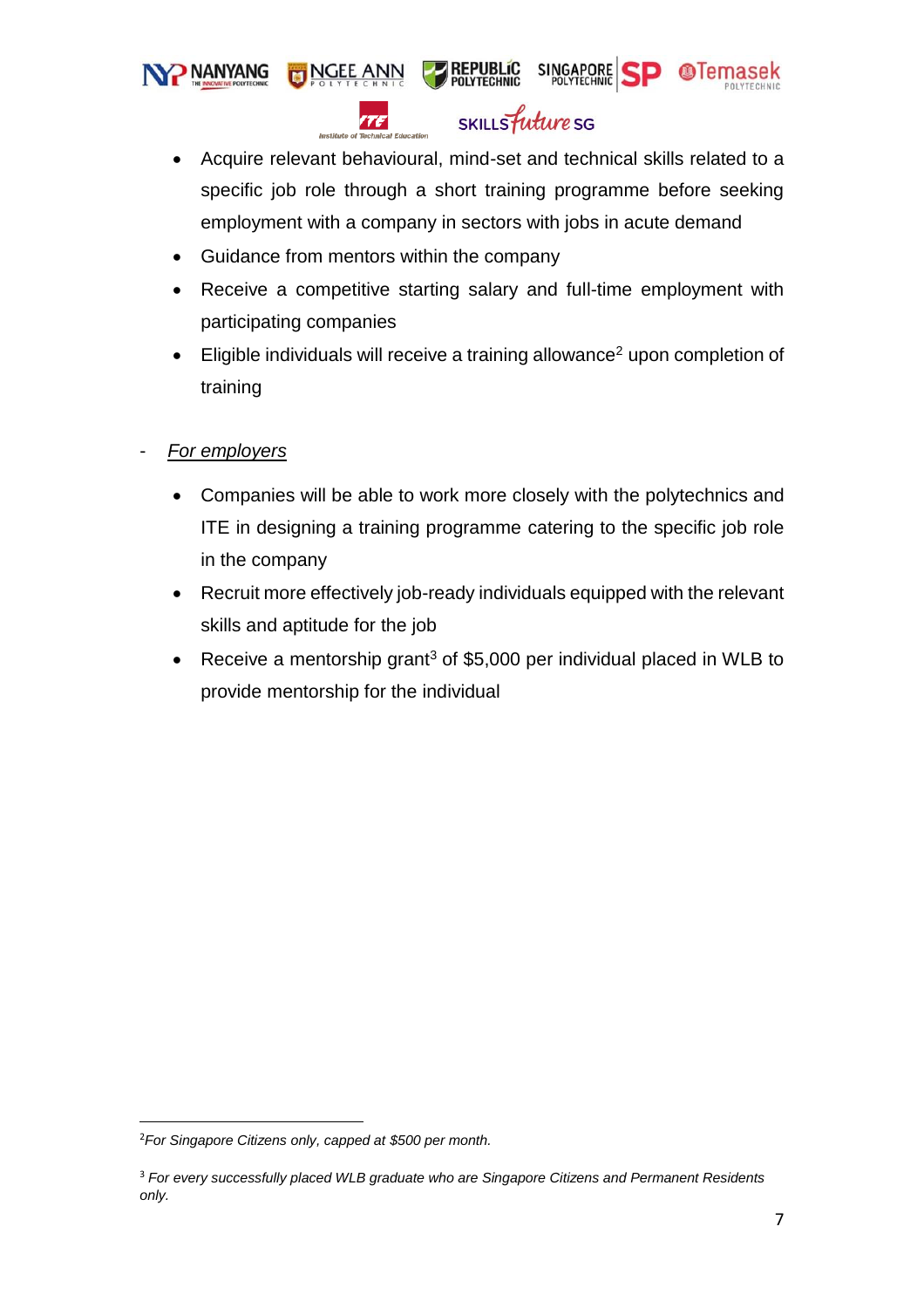**NANYANG NGEE ANN** 



SINGAPORE SP **OTemasek** 

 Acquire relevant behavioural, mind-set and technical skills related to a specific job role through a short training programme before seeking employment with a company in sectors with jobs in acute demand

**PREPUBLIC**<br>POLYTECHNIC

• Guidance from mentors within the company

TF

- Receive a competitive starting salary and full-time employment with participating companies
- Eligible individuals will receive a training allowance<sup>2</sup> upon completion of training
- *For employers*
	- Companies will be able to work more closely with the polytechnics and ITE in designing a training programme catering to the specific job role in the company
	- Recruit more effectively job-ready individuals equipped with the relevant skills and aptitude for the job
	- Receive a mentorship grant<sup>3</sup> of \$5,000 per individual placed in WLB to provide mentorship for the individual

 $\overline{a}$ 

<sup>2</sup>*For Singapore Citizens only, capped at \$500 per month.*

<sup>3</sup> *For every successfully placed WLB graduate who are Singapore Citizens and Permanent Residents only.*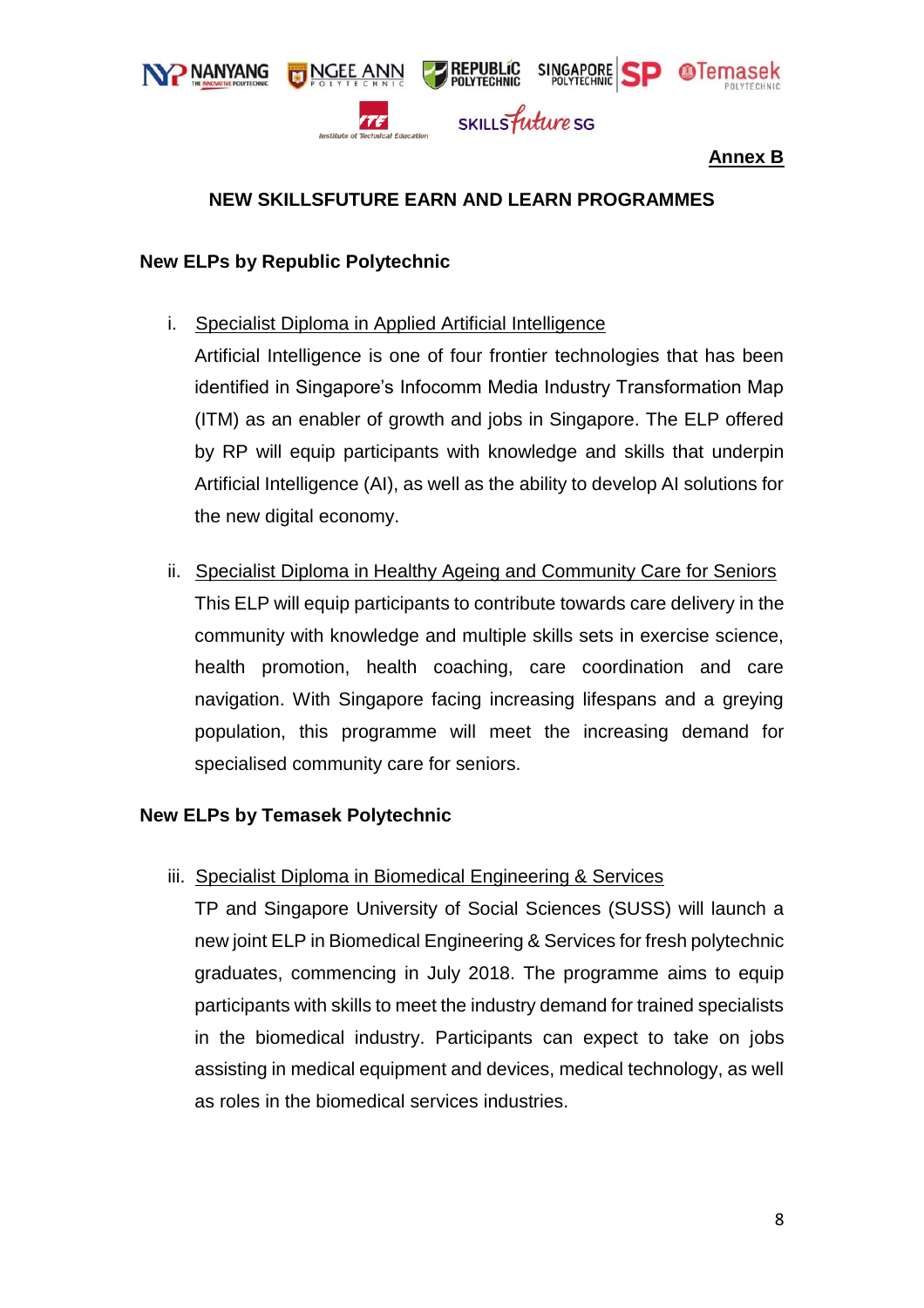

## **Annex B**

## **NEW SKILLSFUTURE EARN AND LEARN PROGRAMMES**

#### **New ELPs by Republic Polytechnic**

i. Specialist Diploma in Applied Artificial Intelligence

Artificial Intelligence is one of four frontier technologies that has been identified in Singapore's Infocomm Media Industry Transformation Map (ITM) as an enabler of growth and jobs in Singapore. The ELP offered by RP will equip participants with knowledge and skills that underpin Artificial Intelligence (AI), as well as the ability to develop AI solutions for the new digital economy.

ii. Specialist Diploma in Healthy Ageing and Community Care for Seniors This ELP will equip participants to contribute towards care delivery in the community with knowledge and multiple skills sets in exercise science, health promotion, health coaching, care coordination and care navigation. With Singapore facing increasing lifespans and a greying population, this programme will meet the increasing demand for specialised community care for seniors.

## **New ELPs by Temasek Polytechnic**

iii. Specialist Diploma in Biomedical Engineering & Services

TP and Singapore University of Social Sciences (SUSS) will launch a new joint ELP in Biomedical Engineering & Services for fresh polytechnic graduates, commencing in July 2018. The programme aims to equip participants with skills to meet the industry demand for trained specialists in the biomedical industry. Participants can expect to take on jobs assisting in medical equipment and devices, medical technology, as well as roles in the biomedical services industries.